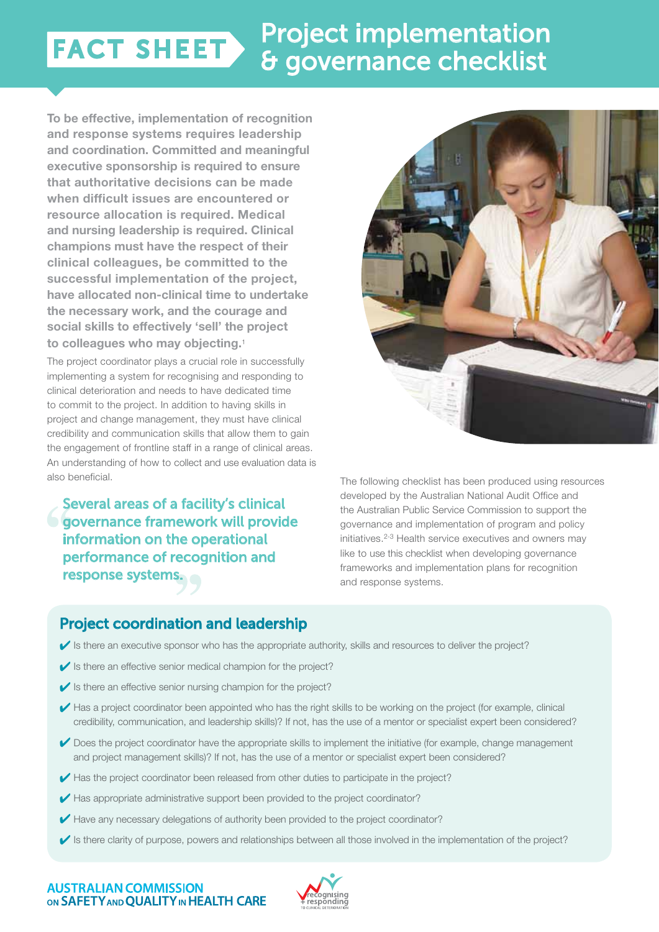# Project implementation FACT SHEET & governance checklist

**To be effective, implementation of recognition and response systems requires leadership and coordination. Committed and meaningful executive sponsorship is required to ensure that authoritative decisions can be made when difficult issues are encountered or resource allocation is required. Medical and nursing leadership is required. Clinical champions must have the respect of their clinical colleagues, be committed to the successful implementation of the project, have allocated non-clinical time to undertake the necessary work, and the courage and social skills to effectively 'sell' the project to colleagues who may objecting.**<sup>1</sup>

The project coordinator plays a crucial role in successfully implementing a system for recognising and responding to clinical deterioration and needs to have dedicated time to commit to the project. In addition to having skills in project and change management, they must have clinical credibility and communication skills that allow them to gain the engagement of frontline staff in a range of clinical areas. An understanding of how to collect and use evaluation data is also beneficial.

Several areas of a facility's clinical **G** governance framework will provide information on the operational performance of recognition and response systems.



The following checklist has been produced using resources developed by the Australian National Audit Office and the Australian Public Service Commission to support the governance and implementation of program and policy initiatives.<sup>2-3</sup> Health service executives and owners may like to use this checklist when developing governance frameworks and implementation plans for recognition and response systems.

### Project coordination and leadership

- $\blacktriangledown$  is there an executive sponsor who has the appropriate authority, skills and resources to deliver the project?
- $\blacktriangleright$  Is there an effective senior medical champion for the project?
- $\blacktriangleright$  Is there an effective senior nursing champion for the project?
- Has a project coordinator been appointed who has the right skills to be working on the project (for example, clinical credibility, communication, and leadership skills)? If not, has the use of a mentor or specialist expert been considered?
- $\vee$  Does the project coordinator have the appropriate skills to implement the initiative (for example, change management and project management skills)? If not, has the use of a mentor or specialist expert been considered?
- $\blacktriangleright$  Has the project coordinator been released from other duties to participate in the project?
- $\blacktriangleright$  Has appropriate administrative support been provided to the project coordinator?
- Have any necessary delegations of authority been provided to the project coordinator?
- $\blacktriangledown$  is there clarity of purpose, powers and relationships between all those involved in the implementation of the project?

#### **AUSTRALIAN COMMISSION** ON SAFETY AND OUALITY IN HEALTH CARE